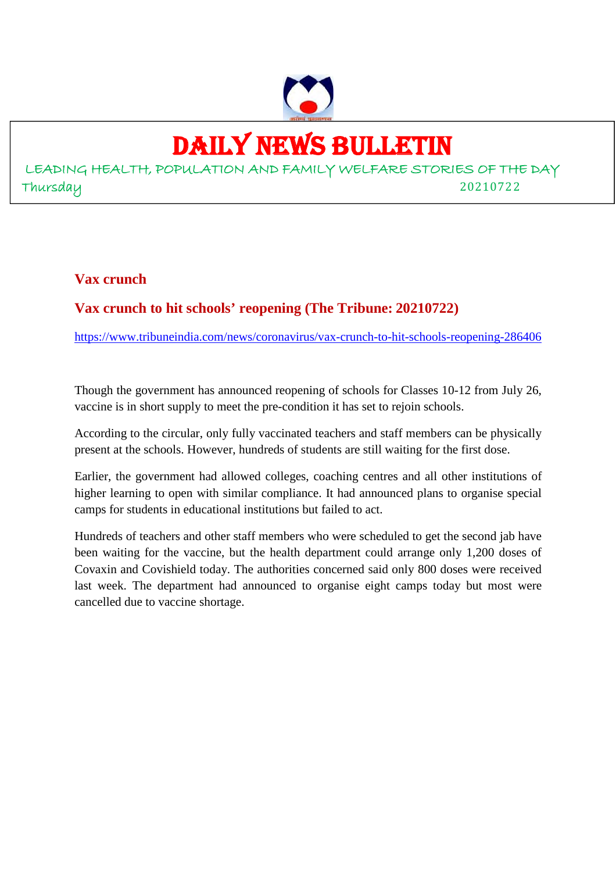

## DAILY NEWS BULLETIN

LEADING HEALTH, POPULATION AND FAMILY WELFARE STORIES OF THE DAY Thursday 20210722

#### **Vax crunch**

#### **Vax crunch to hit schools' reopening (The Tribune: 20210722)**

https://www.tribuneindia.com/news/coronavirus/vax-crunch-to-hit-schools-reopening-286406

Though the government has announced reopening of schools for Classes 10-12 from July 26, vaccine is in short supply to meet the pre-condition it has set to rejoin schools.

According to the circular, only fully vaccinated teachers and staff members can be physically present at the schools. However, hundreds of students are still waiting for the first dose.

Earlier, the government had allowed colleges, coaching centres and all other institutions of higher learning to open with similar compliance. It had announced plans to organise special camps for students in educational institutions but failed to act.

Hundreds of teachers and other staff members who were scheduled to get the second jab have been waiting for the vaccine, but the health department could arrange only 1,200 doses of Covaxin and Covishield today. The authorities concerned said only 800 doses were received last week. The department had announced to organise eight camps today but most were cancelled due to vaccine shortage.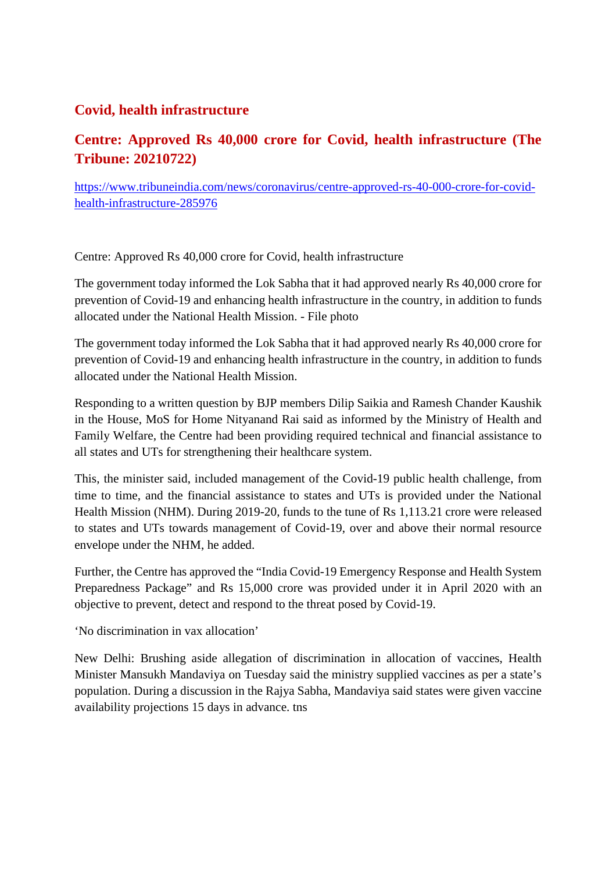#### **Covid, health infrastructure**

### **Centre: Approved Rs 40,000 crore for Covid, health infrastructure (The Tribune: 20210722)**

https://www.tribuneindia.com/news/coronavirus/centre-approved-rs-40-000-crore-for-covidhealth-infrastructure-285976

Centre: Approved Rs 40,000 crore for Covid, health infrastructure

The government today informed the Lok Sabha that it had approved nearly Rs 40,000 crore for prevention of Covid-19 and enhancing health infrastructure in the country, in addition to funds allocated under the National Health Mission. - File photo

The government today informed the Lok Sabha that it had approved nearly Rs 40,000 crore for prevention of Covid-19 and enhancing health infrastructure in the country, in addition to funds allocated under the National Health Mission.

Responding to a written question by BJP members Dilip Saikia and Ramesh Chander Kaushik in the House, MoS for Home Nityanand Rai said as informed by the Ministry of Health and Family Welfare, the Centre had been providing required technical and financial assistance to all states and UTs for strengthening their healthcare system.

This, the minister said, included management of the Covid-19 public health challenge, from time to time, and the financial assistance to states and UTs is provided under the National Health Mission (NHM). During 2019-20, funds to the tune of Rs 1,113.21 crore were released to states and UTs towards management of Covid-19, over and above their normal resource envelope under the NHM, he added.

Further, the Centre has approved the "India Covid-19 Emergency Response and Health System Preparedness Package" and Rs 15,000 crore was provided under it in April 2020 with an objective to prevent, detect and respond to the threat posed by Covid-19.

'No discrimination in vax allocation'

New Delhi: Brushing aside allegation of discrimination in allocation of vaccines, Health Minister Mansukh Mandaviya on Tuesday said the ministry supplied vaccines as per a state's population. During a discussion in the Rajya Sabha, Mandaviya said states were given vaccine availability projections 15 days in advance. tns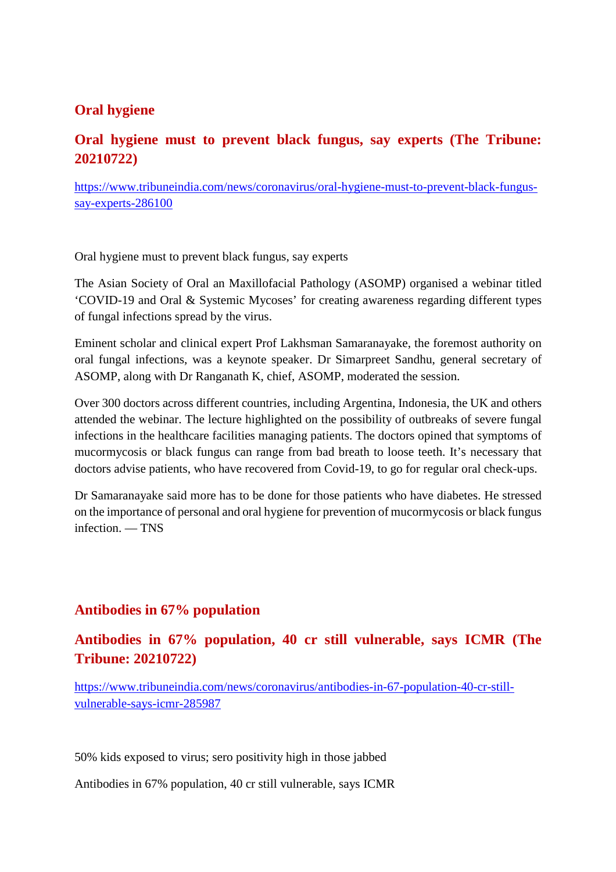#### **Oral hygiene**

#### **Oral hygiene must to prevent black fungus, say experts (The Tribune: 20210722)**

https://www.tribuneindia.com/news/coronavirus/oral-hygiene-must-to-prevent-black-fungussay-experts-286100

Oral hygiene must to prevent black fungus, say experts

The Asian Society of Oral an Maxillofacial Pathology (ASOMP) organised a webinar titled 'COVID-19 and Oral & Systemic Mycoses' for creating awareness regarding different types of fungal infections spread by the virus.

Eminent scholar and clinical expert Prof Lakhsman Samaranayake, the foremost authority on oral fungal infections, was a keynote speaker. Dr Simarpreet Sandhu, general secretary of ASOMP, along with Dr Ranganath K, chief, ASOMP, moderated the session.

Over 300 doctors across different countries, including Argentina, Indonesia, the UK and others attended the webinar. The lecture highlighted on the possibility of outbreaks of severe fungal infections in the healthcare facilities managing patients. The doctors opined that symptoms of mucormycosis or black fungus can range from bad breath to loose teeth. It's necessary that doctors advise patients, who have recovered from Covid-19, to go for regular oral check-ups.

Dr Samaranayake said more has to be done for those patients who have diabetes. He stressed on the importance of personal and oral hygiene for prevention of mucormycosis or black fungus infection. — TNS

#### **Antibodies in 67% population**

**Antibodies in 67% population, 40 cr still vulnerable, says ICMR (The Tribune: 20210722)**

https://www.tribuneindia.com/news/coronavirus/antibodies-in-67-population-40-cr-stillvulnerable-says-icmr-285987

50% kids exposed to virus; sero positivity high in those jabbed

Antibodies in 67% population, 40 cr still vulnerable, says ICMR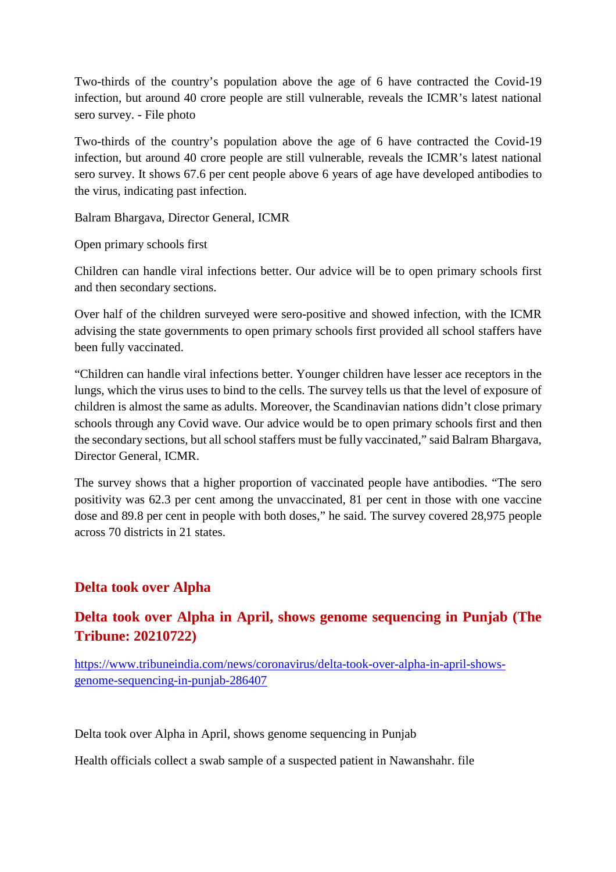Two-thirds of the country's population above the age of 6 have contracted the Covid-19 infection, but around 40 crore people are still vulnerable, reveals the ICMR's latest national sero survey. - File photo

Two-thirds of the country's population above the age of 6 have contracted the Covid-19 infection, but around 40 crore people are still vulnerable, reveals the ICMR's latest national sero survey. It shows 67.6 per cent people above 6 years of age have developed antibodies to the virus, indicating past infection.

Balram Bhargava, Director General, ICMR

Open primary schools first

Children can handle viral infections better. Our advice will be to open primary schools first and then secondary sections.

Over half of the children surveyed were sero-positive and showed infection, with the ICMR advising the state governments to open primary schools first provided all school staffers have been fully vaccinated.

"Children can handle viral infections better. Younger children have lesser ace receptors in the lungs, which the virus uses to bind to the cells. The survey tells us that the level of exposure of children is almost the same as adults. Moreover, the Scandinavian nations didn't close primary schools through any Covid wave. Our advice would be to open primary schools first and then the secondary sections, but all school staffers must be fully vaccinated," said Balram Bhargava, Director General, ICMR.

The survey shows that a higher proportion of vaccinated people have antibodies. "The sero positivity was 62.3 per cent among the unvaccinated, 81 per cent in those with one vaccine dose and 89.8 per cent in people with both doses," he said. The survey covered 28,975 people across 70 districts in 21 states.

#### **Delta took over Alpha**

#### **Delta took over Alpha in April, shows genome sequencing in Punjab (The Tribune: 20210722)**

https://www.tribuneindia.com/news/coronavirus/delta-took-over-alpha-in-april-showsgenome-sequencing-in-punjab-286407

Delta took over Alpha in April, shows genome sequencing in Punjab

Health officials collect a swab sample of a suspected patient in Nawanshahr. file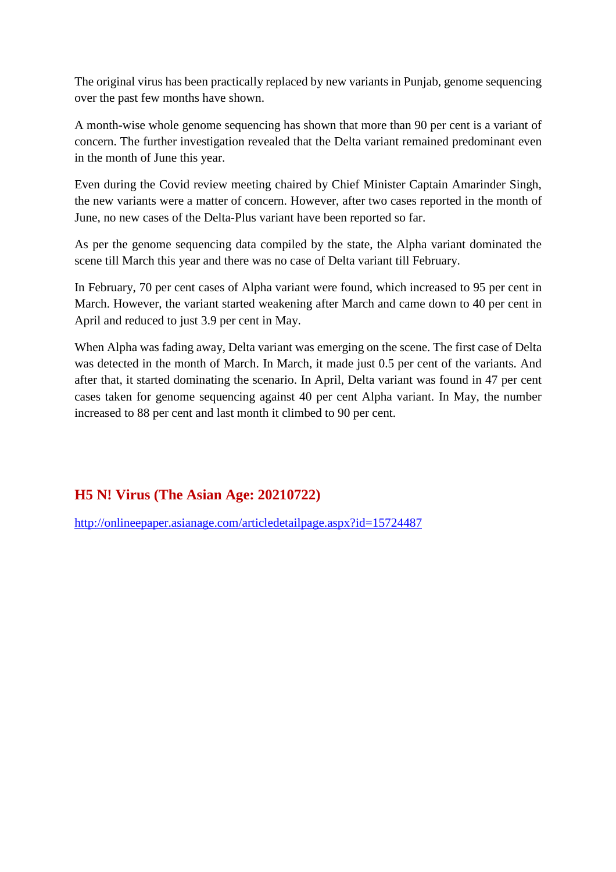The original virus has been practically replaced by new variants in Punjab, genome sequencing over the past few months have shown.

A month-wise whole genome sequencing has shown that more than 90 per cent is a variant of concern. The further investigation revealed that the Delta variant remained predominant even in the month of June this year.

Even during the Covid review meeting chaired by Chief Minister Captain Amarinder Singh, the new variants were a matter of concern. However, after two cases reported in the month of June, no new cases of the Delta-Plus variant have been reported so far.

As per the genome sequencing data compiled by the state, the Alpha variant dominated the scene till March this year and there was no case of Delta variant till February.

In February, 70 per cent cases of Alpha variant were found, which increased to 95 per cent in March. However, the variant started weakening after March and came down to 40 per cent in April and reduced to just 3.9 per cent in May.

When Alpha was fading away, Delta variant was emerging on the scene. The first case of Delta was detected in the month of March. In March, it made just 0.5 per cent of the variants. And after that, it started dominating the scenario. In April, Delta variant was found in 47 per cent cases taken for genome sequencing against 40 per cent Alpha variant. In May, the number increased to 88 per cent and last month it climbed to 90 per cent.

#### **H5 N! Virus (The Asian Age: 20210722)**

http://onlineepaper.asianage.com/articledetailpage.aspx?id=15724487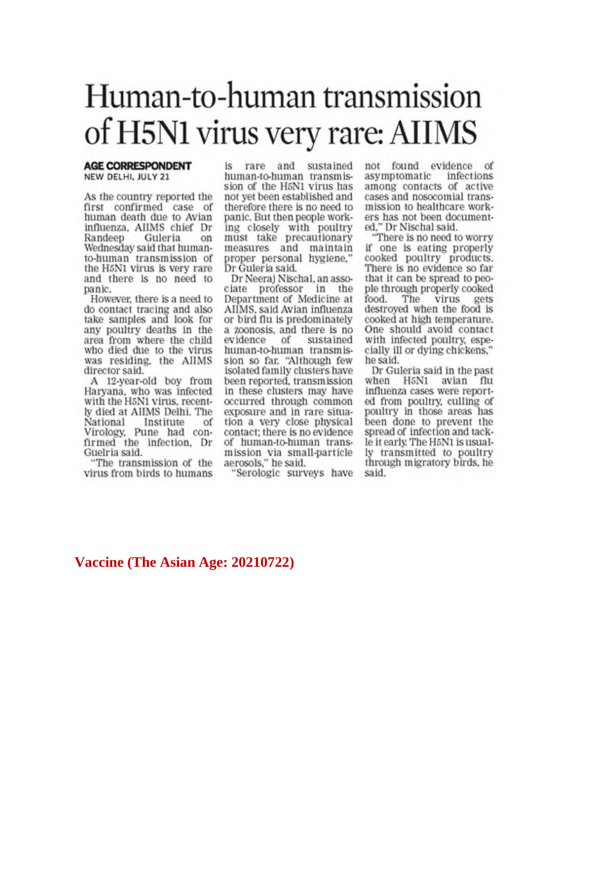## Human-to-human transmission of H5N1 virus very rare: AIIMS

#### **AGE CORRESPONDENT** NEW DELHI, JULY 21

As the country reported the first confirmed case of human death due to Avian influenza, AIIMS chief Dr Guleria Randeep on Wednesday said that humanto-human transmission of the H5N1 virus is very rare and there is no need to panic.

However, there is a need to do contact tracing and also<br>take samples and look for any poultry deaths in the area from where the child who died due to the virus was residing, the AIIMS director said.

A 12-year-old boy from Harvana, who was infected with the H5N1 virus, recently died at AIIMS Delhi, The National Institute of Virology, Pune had confirmed the infection, Dr Guelria said.

"The transmission of the virus from birds to humans is rare and sustained human-to-human transmission of the H5N1 virus has not yet been established and therefore there is no need to panic. But then people working closely with poultry<br>must take precautionary measures and maintain proper personal hygiene," Dr Guleria said.

Dr Neeraj Nischal, an associate professor in the Department of Medicine at AIIMS, said Avian influenza or bird flu is predominately a zoonosis, and there is no evidence of sustained human-to-human transmission so far. "Although few<br>isolated family clusters have been reported, transmission in these clusters may have occurred through common exposure and in rare situation a very close physical contact; there is no evidence of human-to-human transmission via small-particle aerosols," he said.

"Serologic surveys have

not found evidence of asymptomatic infections among contacts of active cases and nosocomial transmission to healthcare workers has not been documented." Dr Nischal said.

There is no need to worry if one is eating properly cooked poultry products. There is no evidence so far that it can be spread to people through properly cooked The virus food. gets destroyed when the food is cooked at high temperature.<br>One should avoid contact with infected poultry, especially ill or dying chickens," he said.

Dr Guleria said in the past when H5N1 avian flu influenza cases were reported from poultry, culling of poultry in those areas has been done to prevent the spread of infection and tackle it early. The H5N1 is usually transmitted to poultry through migratory birds, he said.

#### Vaccine (The Asian Age: 20210722)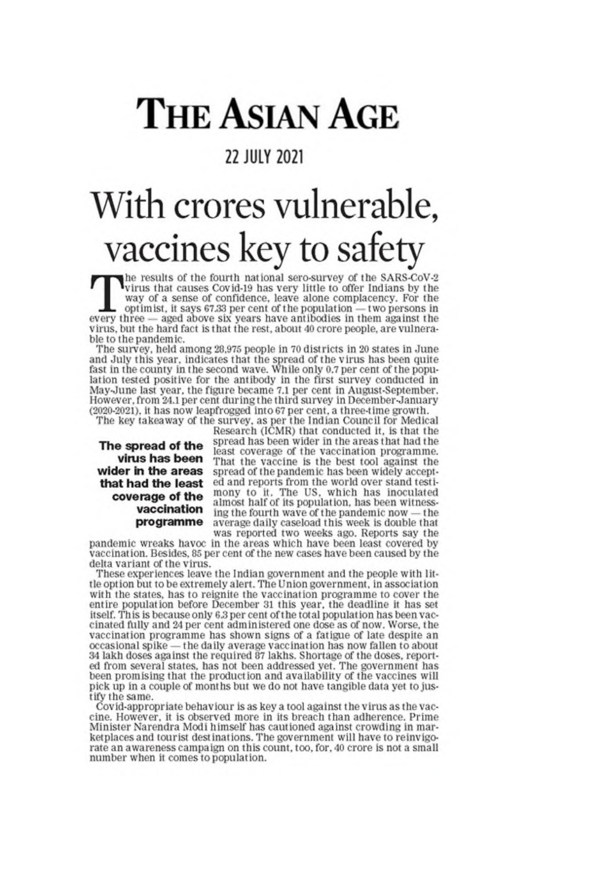# **THE ASIAN AGE**

## **22 JULY 2021**

# With crores vulnerable, vaccines key to safety

he results of the fourth national sero-survey of the SARS-CoV-2 The results of the fourth harlonal service region to the virus that causes Covid-19 has very little to offer Indians by the way of a sense of confidence, leave alone complacency. For the Let optimist, it says 67.33 per cent of the population — two persons in every three — aged above six years have antibodies in them against the virus, but the hard fact is that the rest, about 40 crore people, are vulnerable to the pandemic.

The survey, held among 28,975 people in 70 districts in 20 states in June and July this year, indicates that the spread of the virus has been quite<br>fast in the county in the second wave. While only 0.7 per cent of the population tested positive for the antibody in the first survey conducted in May-June last year, the figure became 7.1 per cent in August-September. However, from 24.1 per cent during the third survey in December-January (2020-2021), it has now leapfrogged into 67 per cent, a three-time growth.

The key takeaway of the survey, as per the Indian Council for Medical

The spread of the virus has been wider in the areas that had the least coverage of the vaccination programme

Research (ICMR) that conducted it, is that the spread has been wider in the areas that had the least coverage of the vaccination programme. That the vaccine is the best tool against the spread of the pandemic has been widely accepted and reports from the world over stand testimony to it. The US, which has inoculated<br>almost half of its population, has been witnessing the fourth wave of the pandemic now — the average daily caseload this week is double that was reported two weeks ago. Reports say the

pandemic wreaks havoc in the areas which have been least covered by vaccination. Besides, 85 per cent of the new cases have been caused by the delta variant of the virus.

These experiences leave the Indian government and the people with little option but to be extremely alert. The Union government, in association with the states, has to reignite the vaccination programme to cover the entire population before December 31 this year, the deadline it has set<br>itself. This is because only 6.3 per cent of the total population has been vaccinated fully and 24 per cent administered one dose as of now. Worse, the vaccination programme has shown signs of a fatigue of late despite an occasional spike — the daily average vaccination has now fallen to about 34 lakh doses against the required 87 lakhs. Shortage of the doses, reported from several states, has not been addressed yet. The government has been promising that the production and availability of the vaccines will pick up in a couple of months but we do not have tangible data yet to justify the same.

Covid-appropriate behaviour is as key a tool against the virus as the vaccine. However, it is observed more in its breach than adherence. Prime Minister Narendra Modi himself has cautioned against crowding in marketplaces and tourist destinations. The government will have to reinvigorate an awareness campaign on this count, too, for, 40 crore is not a small number when it comes to population.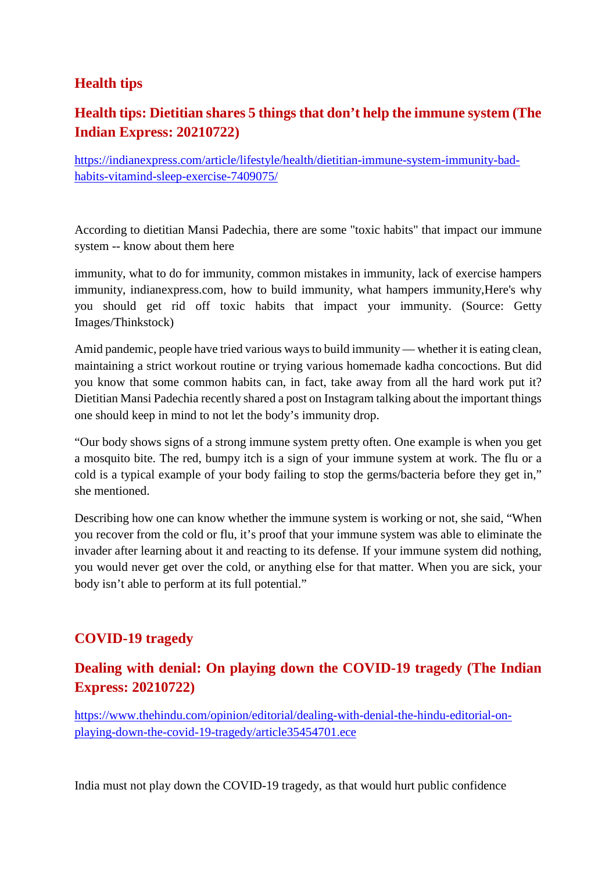#### **Health tips**

## **Health tips: Dietitian shares 5 things that don't help the immune system (The Indian Express: 20210722)**

https://indianexpress.com/article/lifestyle/health/dietitian-immune-system-immunity-badhabits-vitamind-sleep-exercise-7409075/

According to dietitian Mansi Padechia, there are some "toxic habits" that impact our immune system -- know about them here

immunity, what to do for immunity, common mistakes in immunity, lack of exercise hampers immunity, indianexpress.com, how to build immunity, what hampers immunity,Here's why you should get rid off toxic habits that impact your immunity. (Source: Getty Images/Thinkstock)

Amid pandemic, people have tried various ways to build immunity — whether it is eating clean, maintaining a strict workout routine or trying various homemade kadha concoctions. But did you know that some common habits can, in fact, take away from all the hard work put it? Dietitian Mansi Padechia recently shared a post on Instagram talking about the important things one should keep in mind to not let the body's immunity drop.

"Our body shows signs of a strong immune system pretty often. One example is when you get a mosquito bite. The red, bumpy itch is a sign of your immune system at work. The flu or a cold is a typical example of your body failing to stop the germs/bacteria before they get in," she mentioned.

Describing how one can know whether the immune system is working or not, she said, "When you recover from the cold or flu, it's proof that your immune system was able to eliminate the invader after learning about it and reacting to its defense. If your immune system did nothing, you would never get over the cold, or anything else for that matter. When you are sick, your body isn't able to perform at its full potential."

#### **COVID-19 tragedy**

#### **Dealing with denial: On playing down the COVID-19 tragedy (The Indian Express: 20210722)**

https://www.thehindu.com/opinion/editorial/dealing-with-denial-the-hindu-editorial-onplaying-down-the-covid-19-tragedy/article35454701.ece

India must not play down the COVID-19 tragedy, as that would hurt public confidence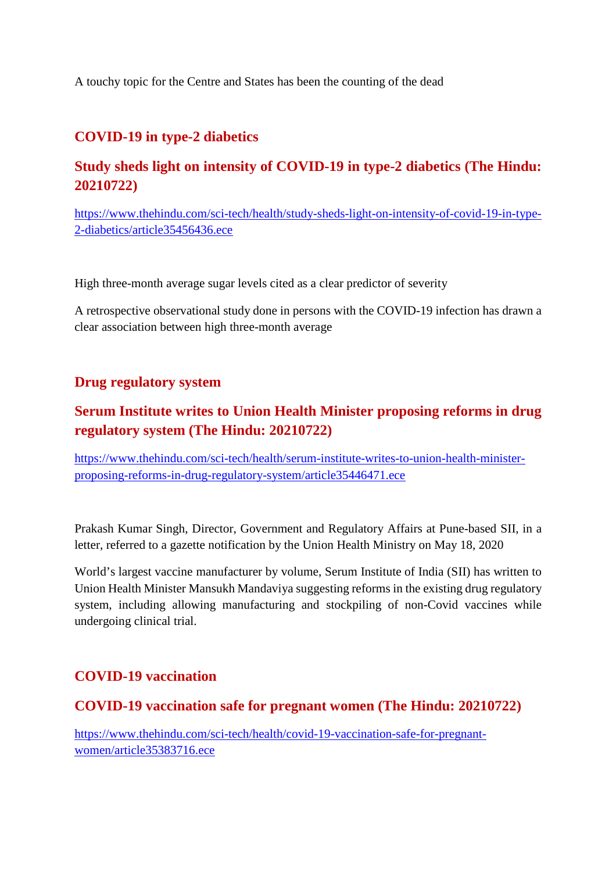A touchy topic for the Centre and States has been the counting of the dead

#### **COVID-19 in type-2 diabetics**

### **Study sheds light on intensity of COVID-19 in type-2 diabetics (The Hindu: 20210722)**

https://www.thehindu.com/sci-tech/health/study-sheds-light-on-intensity-of-covid-19-in-type-2-diabetics/article35456436.ece

High three-month average sugar levels cited as a clear predictor of severity

A retrospective observational study done in persons with the COVID-19 infection has drawn a clear association between high three-month average

#### **Drug regulatory system**

## **Serum Institute writes to Union Health Minister proposing reforms in drug regulatory system (The Hindu: 20210722)**

https://www.thehindu.com/sci-tech/health/serum-institute-writes-to-union-health-ministerproposing-reforms-in-drug-regulatory-system/article35446471.ece

Prakash Kumar Singh, Director, Government and Regulatory Affairs at Pune-based SII, in a letter, referred to a gazette notification by the Union Health Ministry on May 18, 2020

World's largest vaccine manufacturer by volume, Serum Institute of India (SII) has written to Union Health Minister Mansukh Mandaviya suggesting reforms in the existing drug regulatory system, including allowing manufacturing and stockpiling of non-Covid vaccines while undergoing clinical trial.

#### **COVID-19 vaccination**

#### **COVID-19 vaccination safe for pregnant women (The Hindu: 20210722)**

https://www.thehindu.com/sci-tech/health/covid-19-vaccination-safe-for-pregnantwomen/article35383716.ece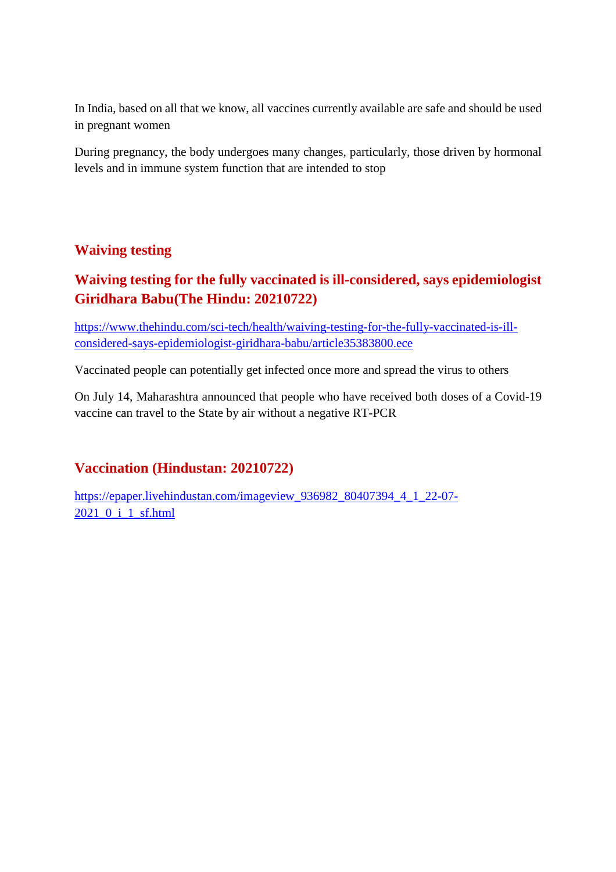In India, based on all that we know, all vaccines currently available are safe and should be used in pregnant women

During pregnancy, the body undergoes many changes, particularly, those driven by hormonal levels and in immune system function that are intended to stop

#### **Waiving testing**

## **Waiving testing for the fully vaccinated is ill-considered, says epidemiologist Giridhara Babu(The Hindu: 20210722)**

https://www.thehindu.com/sci-tech/health/waiving-testing-for-the-fully-vaccinated-is-illconsidered-says-epidemiologist-giridhara-babu/article35383800.ece

Vaccinated people can potentially get infected once more and spread the virus to others

On July 14, Maharashtra announced that people who have received both doses of a Covid-19 vaccine can travel to the State by air without a negative RT-PCR

#### **Vaccination (Hindustan: 20210722)**

https://epaper.livehindustan.com/imageview\_936982\_80407394\_4\_1\_22-07- 2021\_0\_i\_1\_sf.html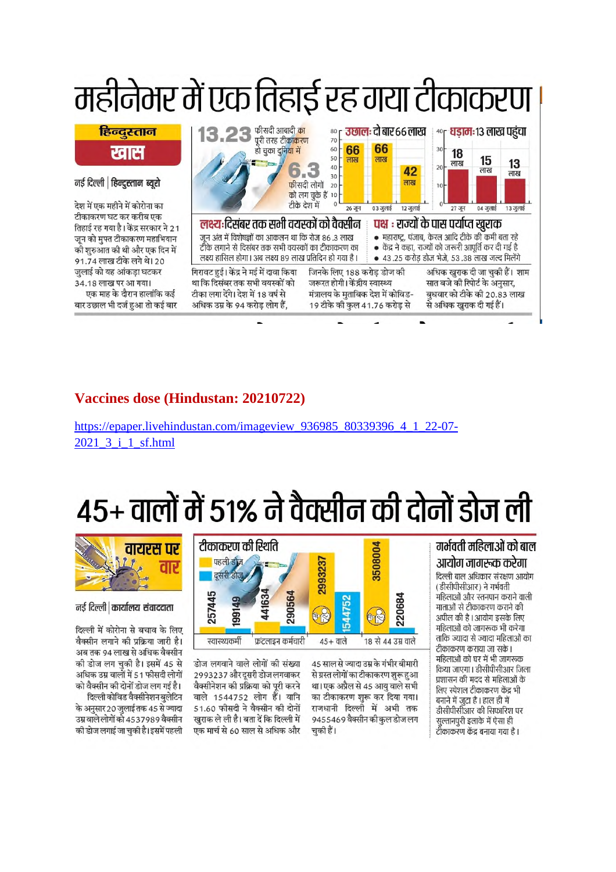

#### Vaccines dose (Hindustan: 20210722)

https://epaper.livehindustan.com/imageview\_936985 80339396 4 1 22-07-2021 3 i 1 sf.html

# 45+ वालों में 51% ने वैक्सीन की दोनों डोज ली

#### गर्भवती महिलाओं को बाल आयोग जागरूक करेगा दिल्ली बाल अधिकार संरक्षण आयोग

(डीसीपीसीआर) ने गर्भवती .<br>महिलाओं और स्तनपान कराने वाली माताओं से टीकाकरण कराने की अपील की है। आयोग इसके लिए महिलाओं को जागरूक भी करेगा ताकि ज्यादा से ज्यादा महिलाओं का टीकाकरण कराया जा सके। महिलाओं को घर में भी जागरूक किया जाएगा। डीसीपीसीआर जिला प्रशासन की मदद से महिलाओं के लिए स्पेशल टीकाकरण केंद्र भी बनाने में जटा है। हाल ही में डीसीपीसीआर की सिफारिश पर सुल्तानपुरी इलाके में ऐसा ही टीकाकरण केंद्र बनाया गया है ।



45 साल से ज्यादा उम्र के गंभीर बीमारी 2993237 और दूसरी डोज लगवाकर से ग्रस्त लोगों का टीकाकरण शुरू हुआ वैक्सीनेशन की प्रक्रिया को पूरी करने था। एक अप्रैल से 45 आयु वाले सभी वाले 1544752 लोग हैं। यानि का टीकाकरण शुरू कर दिया गया। 51.60 फीसदी ने वैक्सीन की दोनों राजधानी दिल्ली में अभी तक खुराक ले ली है। बता दें कि दिल्ली में 9455469 वैक्सीन की कुल डोज लग एक मार्च से 60 साल से अधिक और चकी हैं।



#### नई दिल्ली कार्यालय संवाददाता

दिल्ली में कोरोना से बचाव के लिए वैक्सीन लगाने की प्रक्रिया जारी है। अब तक 94 लाख से अधिक वैक्सीन की डोज लग चुकी है। इसमें 45 से अधिक उम्र वालों में 51 फीसदी लोगों को वैक्सीन की दोनों डोज लग गई है।

दिल्ली कोविड वैक्सीनेशन बुलेटिन के अनुसार 20 जुलाई तक 45 से ज्यादा उम्र वाले लोगों को 4537989 वैक्सीन की डोज लगाई जा चकी है। इसमें पहली